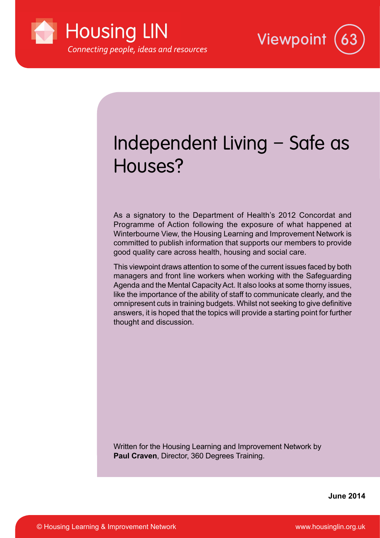



# Independent Living – Safe as Houses?

As a signatory to the Department of Health's 2012 Concordat and Programme of Action following the exposure of what happened at Winterbourne View, the Housing Learning and Improvement Network is committed to publish information that supports our members to provide good quality care across health, housing and social care.

This viewpoint draws attention to some of the current issues faced by both managers and front line workers when working with the Safeguarding Agenda and the Mental Capacity Act. It also looks at some thorny issues, like the importance of the ability of staff to communicate clearly, and the omnipresent cuts in training budgets. Whilst not seeking to give definitive answers, it is hoped that the topics will provide a starting point for further thought and discussion.

Written for the Housing Learning and Improvement Network by **Paul Craven**, Director, 360 Degrees Training.

**June 2014**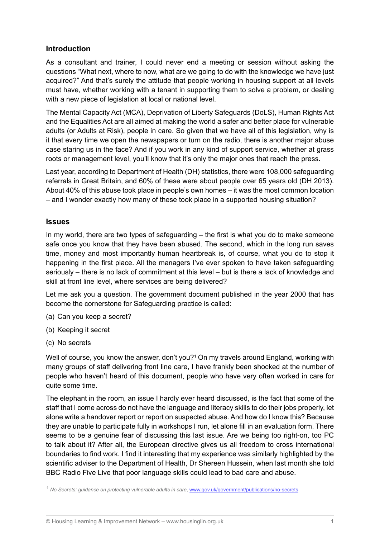# **Introduction**

As a consultant and trainer, I could never end a meeting or session without asking the questions "What next, where to now, what are we going to do with the knowledge we have just acquired?" And that's surely the attitude that people working in housing support at all levels must have, whether working with a tenant in supporting them to solve a problem, or dealing with a new piece of legislation at local or national level.

The Mental Capacity Act (MCA), Deprivation of Liberty Safeguards (DoLS), Human Rights Act and the Equalities Act are all aimed at making the world a safer and better place for vulnerable adults (or Adults at Risk), people in care. So given that we have all of this legislation, why is it that every time we open the newspapers or turn on the radio, there is another major abuse case staring us in the face? And if you work in any kind of support service, whether at grass roots or management level, you'll know that it's only the major ones that reach the press.

Last year, according to Department of Health (DH) statistics, there were 108,000 safeguarding referrals in Great Britain, and 60% of these were about people over 65 years old (DH 2013). About 40% of this abuse took place in people's own homes – it was the most common location – and I wonder exactly how many of these took place in a supported housing situation?

#### **Issues**

In my world, there are two types of safeguarding – the first is what you do to make someone safe once you know that they have been abused. The second, which in the long run saves time, money and most importantly human heartbreak is, of course, what you do to stop it happening in the first place. All the managers I've ever spoken to have taken safeguarding seriously – there is no lack of commitment at this level – but is there a lack of knowledge and skill at front line level, where services are being delivered?

Let me ask you a question. The government document published in the year 2000 that has become the cornerstone for Safeguarding practice is called:

- (a) Can you keep a secret?
- (b) Keeping it secret
- (c) No secrets

Well of course, you know the answer, don't you?<sup>1</sup> On my travels around England, working with many groups of staff delivering front line care, I have frankly been shocked at the number of people who haven't heard of this document, people who have very often worked in care for quite some time.

The elephant in the room, an issue I hardly ever heard discussed, is the fact that some of the staff that I come across do not have the language and literacy skills to do their jobs properly, let alone write a handover report or report on suspected abuse. And how do I know this? Because they are unable to participate fully in workshops I run, let alone fill in an evaluation form. There seems to be a genuine fear of discussing this last issue. Are we being too right-on, too PC to talk about it? After all, the European directive gives us all freedom to cross international boundaries to find work. I find it interesting that my experience was similarly highlighted by the scientific adviser to the Department of Health, Dr Shereen Hussein, when last month she told BBC Radio Five Live that poor language skills could lead to bad care and abuse.

<sup>&</sup>lt;sup>1</sup> No Secrets: guidance on protecting vulnerable adults in care, www.gov.uk/government/publications/no-secrets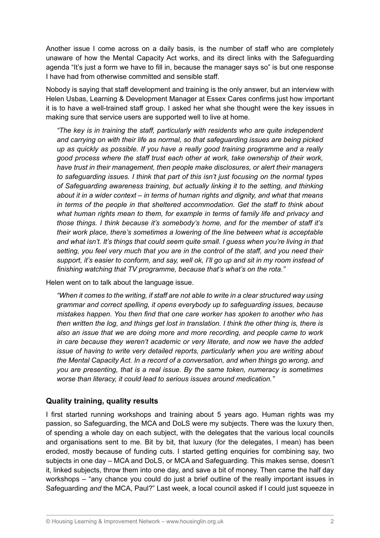Another issue I come across on a daily basis, is the number of staff who are completely unaware of how the Mental Capacity Act works, and its direct links with the Safeguarding agenda "It's just a form we have to fill in, because the manager says so" is but one response I have had from otherwise committed and sensible staff.

Nobody is saying that staff development and training is the only answer, but an interview with Helen Usbas, Learning & Development Manager at Essex Cares confirms just how important it is to have a well-trained staff group. I asked her what she thought were the key issues in making sure that service users are supported well to live at home.

*"The key is in training the staff, particularly with residents who are quite independent and carrying on with their life as normal, so that safeguarding issues are being picked up as quickly as possible. If you have a really good training programme and a really good process where the staff trust each other at work, take ownership of their work, have trust in their management, then people make disclosures, or alert their managers to safeguarding issues. I think that part of this isn't just focusing on the normal types of Safeguarding awareness training, but actually linking it to the setting, and thinking about it in a wider context* – *in terms of human rights and dignity, and what that means in terms of the people in that sheltered accommodation. Get the staff to think about what human rights mean to them, for example in terms of family life and privacy and those things. I think because it's somebody's home, and for the member of staff it's their work place, there's sometimes a lowering of the line between what is acceptable and what isn't. It's things that could seem quite small. I guess when you're living in that setting, you feel very much that you are in the control of the staff, and you need their support, it's easier to conform, and say, well ok, I'll go up and sit in my room instead of finishing watching that TV programme, because that's what's on the rota."*

Helen went on to talk about the language issue.

*"When it comes to the writing, if staff are not able to write in a clear structured way using grammar and correct spelling, it opens everybody up to safeguarding issues, because mistakes happen. You then find that one care worker has spoken to another who has then written the log, and things get lost in translation. I think the other thing is, there is also an issue that we are doing more and more recording, and people came to work in care because they weren't academic or very literate, and now we have the added issue of having to write very detailed reports, particularly when you are writing about the Mental Capacity Act. In a record of a conversation, and when things go wrong, and you are presenting, that is a real issue. By the same token, numeracy is sometimes worse than literacy, it could lead to serious issues around medication."*

## **Quality training, quality results**

I first started running workshops and training about 5 years ago. Human rights was my passion, so Safeguarding, the MCA and DoLS were my subjects. There was the luxury then, of spending a whole day on each subject, with the delegates that the various local councils and organisations sent to me. Bit by bit, that luxury (for the delegates, I mean) has been eroded, mostly because of funding cuts. I started getting enquiries for combining say, two subjects in one day – MCA and DoLS, or MCA and Safeguarding. This makes sense, doesn't it, linked subjects, throw them into one day, and save a bit of money. Then came the half day workshops – "any chance you could do just a brief outline of the really important issues in Safeguarding *and* the MCA, Paul?" Last week, a local council asked if I could just squeeze in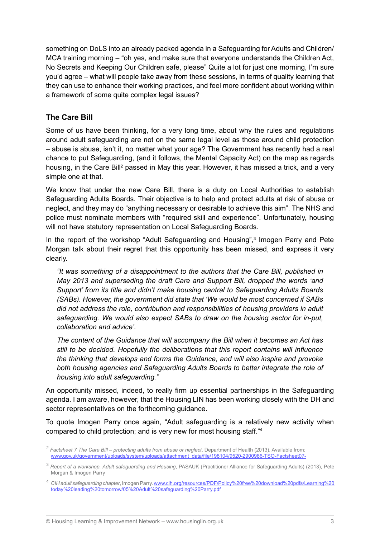something on DoLS into an already packed agenda in a Safeguarding for Adults and Children/ MCA training morning – "oh yes, and make sure that everyone understands the Children Act, No Secrets and Keeping Our Children safe, please" Quite a lot for just one morning, I'm sure you'd agree – what will people take away from these sessions, in terms of quality learning that they can use to enhance their working practices, and feel more confident about working within a framework of some quite complex legal issues?

# **The Care Bill**

Some of us have been thinking, for a very long time, about why the rules and regulations around adult safeguarding are not on the same legal level as those around child protection – abuse is abuse, isn't it, no matter what your age? The Government has recently had a real chance to put Safeguarding, (and it follows, the Mental Capacity Act) on the map as regards housing, in the Care Bill<sup>2</sup> passed in May this year. However, it has missed a trick, and a very simple one at that.

We know that under the new Care Bill, there is a duty on Local Authorities to establish Safeguarding Adults Boards. Their objective is to help and protect adults at risk of abuse or neglect, and they may do "anything necessary or desirable to achieve this aim". The NHS and police must nominate members with "required skill and experience". Unfortunately, housing will not have statutory representation on Local Safeguarding Boards.

In the report of the workshop "Adult Safeguarding and Housing",<sup>3</sup> Imogen Parry and Pete Morgan talk about their regret that this opportunity has been missed, and express it very clearly.

*"It was something of a disappointment to the authors that the Care Bill, published in May 2013 and superseding the draft Care and Support Bill, dropped the words 'and Support' from its title and didn't make housing central to Safeguarding Adults Boards (SABs). However, the government did state that 'We would be most concerned if SABs did not address the role, contribution and responsibilities of housing providers in adult safeguarding. We would also expect SABs to draw on the housing sector for in-put, collaboration and advice'.* 

*The content of the Guidance that will accompany the Bill when it becomes an Act has still to be decided. Hopefully the deliberations that this report contains will influence the thinking that develops and forms the Guidance, and will also inspire and provoke both housing agencies and Safeguarding Adults Boards to better integrate the role of housing into adult safeguarding."*

An opportunity missed, indeed, to really firm up essential partnerships in the Safeguarding agenda. I am aware, however, that the Housing LIN has been working closely with the DH and sector representatives on the forthcoming guidance.

To quote Imogen Parry once again, "Adult safeguarding is a relatively new activity when compared to child protection; and is very new for most housing staff."4

<sup>&</sup>lt;sup>2</sup> Factsheet 7 The Care Bill – protecting adults from abuse or neglect, Department of Health (2013). Available from: www.gov.uk/government/uploads/system/uploads/attachment\_data/file/198104/9520-2900986-TSO-Factsheet07-

<sup>3</sup> *Report of a workshop, Adult safeguarding and Housing*, PASAUK (Practitioner Alliance for Safeguarding Adults) (2013), Pete Morgan & Imogen Parry

<sup>4</sup> *CIH adult safeguarding chapter*, Imogen Parry. www.cih.org/resources/PDF/Policy%20free%20download%20pdfs/Learning%20 today%20leading%20tomorrow/05%20Adult%20safeguarding%20Parry.pdf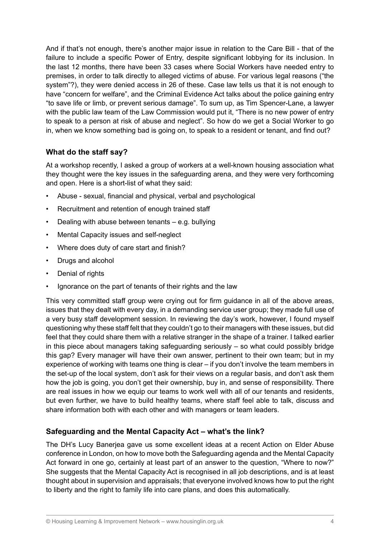And if that's not enough, there's another major issue in relation to the Care Bill - that of the failure to include a specific Power of Entry, despite significant lobbying for its inclusion. In the last 12 months, there have been 33 cases where Social Workers have needed entry to premises, in order to talk directly to alleged victims of abuse. For various legal reasons ("the system"?), they were denied access in 26 of these. Case law tells us that it is not enough to have "concern for welfare", and the Criminal Evidence Act talks about the police gaining entry "to save life or limb, or prevent serious damage". To sum up, as Tim Spencer-Lane, a lawyer with the public law team of the Law Commission would put it, "There is no new power of entry to speak to a person at risk of abuse and neglect". So how do we get a Social Worker to go in, when we know something bad is going on, to speak to a resident or tenant, and find out?

## **What do the staff say?**

At a workshop recently, I asked a group of workers at a well-known housing association what they thought were the key issues in the safeguarding arena, and they were very forthcoming and open. Here is a short-list of what they said:

- Abuse sexual, financial and physical, verbal and psychological
- Recruitment and retention of enough trained staff
- Dealing with abuse between tenants e.g. bullying
- Mental Capacity issues and self-neglect
- Where does duty of care start and finish?
- Drugs and alcohol
- Denial of rights
- Ignorance on the part of tenants of their rights and the law

This very committed staff group were crying out for firm guidance in all of the above areas, issues that they dealt with every day, in a demanding service user group; they made full use of a very busy staff development session. In reviewing the day's work, however, I found myself questioning why these staff felt that they couldn't go to their managers with these issues, but did feel that they could share them with a relative stranger in the shape of a trainer. I talked earlier in this piece about managers taking safeguarding seriously – so what could possibly bridge this gap? Every manager will have their own answer, pertinent to their own team; but in my experience of working with teams one thing is clear – if you don't involve the team members in the set-up of the local system, don't ask for their views on a regular basis, and don't ask them how the job is going, you don't get their ownership, buy in, and sense of responsibility. There are real issues in how we equip our teams to work well with all of our tenants and residents, but even further, we have to build healthy teams, where staff feel able to talk, discuss and share information both with each other and with managers or team leaders.

## **Safeguarding and the Mental Capacity Act – what's the link?**

The DH's Lucy Banerjea gave us some excellent ideas at a recent Action on Elder Abuse conference in London, on how to move both the Safeguarding agenda and the Mental Capacity Act forward in one go, certainly at least part of an answer to the question, "Where to now?" She suggests that the Mental Capacity Act is recognised in all job descriptions, and is at least thought about in supervision and appraisals; that everyone involved knows how to put the right to liberty and the right to family life into care plans, and does this automatically.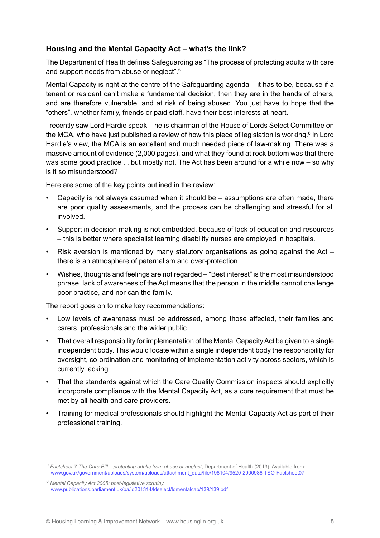# **Housing and the Mental Capacity Act – what's the link?**

The Department of Health defines Safeguarding as "The process of protecting adults with care and support needs from abuse or neglect".<sup>5</sup>

Mental Capacity is right at the centre of the Safeguarding agenda – it has to be, because if a tenant or resident can't make a fundamental decision, then they are in the hands of others, and are therefore vulnerable, and at risk of being abused. You just have to hope that the "others", whether family, friends or paid staff, have their best interests at heart.

I recently saw Lord Hardie speak – he is chairman of the House of Lords Select Committee on the MCA, who have just published a review of how this piece of legislation is working.<sup>6</sup> In Lord Hardie's view, the MCA is an excellent and much needed piece of law-making. There was a massive amount of evidence (2,000 pages), and what they found at rock bottom was that there was some good practice ... but mostly not. The Act has been around for a while now – so why is it so misunderstood?

Here are some of the key points outlined in the review:

- Capacity is not always assumed when it should be assumptions are often made, there are poor quality assessments, and the process can be challenging and stressful for all involved.
- Support in decision making is not embedded, because of lack of education and resources – this is better where specialist learning disability nurses are employed in hospitals.
- Risk aversion is mentioned by many statutory organisations as going against the Act there is an atmosphere of paternalism and over-protection.
- Wishes, thoughts and feelings are not regarded "Best interest" is the most misunderstood phrase; lack of awareness of the Act means that the person in the middle cannot challenge poor practice, and nor can the family.

The report goes on to make key recommendations:

- Low levels of awareness must be addressed, among those affected, their families and carers, professionals and the wider public.
- That overall responsibility for implementation of the Mental Capacity Act be given to a single independent body. This would locate within a single independent body the responsibility for oversight, co-ordination and monitoring of implementation activity across sectors, which is currently lacking.
- That the standards against which the Care Quality Commission inspects should explicitly incorporate compliance with the Mental Capacity Act, as a core requirement that must be met by all health and care providers.
- Training for medical professionals should highlight the Mental Capacity Act as part of their professional training.

<sup>5</sup> *Factsheet 7 The Care Bill – protecting adults from abuse or neglect*, Department of Health (2013). Available from: www.gov.uk/government/uploads/system/uploads/attachment\_data/file/198104/9520-2900986-TSO-Factsheet07-

<sup>6</sup> *Mental Capacity Act 2005: post-legislative scrutiny.*  www.publications.parliament.uk/pa/ld201314/ldselect/ldmentalcap/139/139.pdf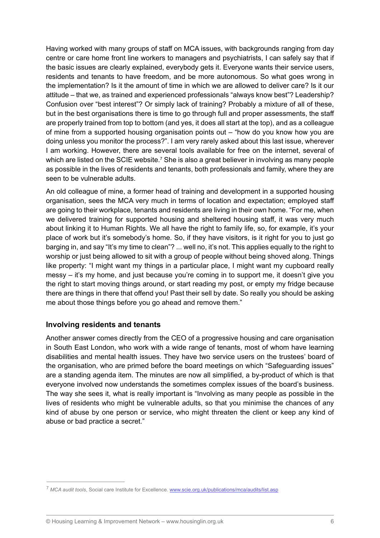Having worked with many groups of staff on MCA issues, with backgrounds ranging from day centre or care home front line workers to managers and psychiatrists, I can safely say that if the basic issues are clearly explained, everybody gets it. Everyone wants their service users, residents and tenants to have freedom, and be more autonomous. So what goes wrong in the implementation? Is it the amount of time in which we are allowed to deliver care? Is it our attitude – that we, as trained and experienced professionals "always know best"? Leadership? Confusion over "best interest"? Or simply lack of training? Probably a mixture of all of these, but in the best organisations there is time to go through full and proper assessments, the staff are properly trained from top to bottom (and yes, it does all start at the top), and as a colleague of mine from a supported housing organisation points out – "how do you know how you are doing unless you monitor the process?". I am very rarely asked about this last issue, wherever I am working. However, there are several tools available for free on the internet, several of which are listed on the SCIE website.<sup>7</sup> She is also a great believer in involving as many people as possible in the lives of residents and tenants, both professionals and family, where they are seen to be vulnerable adults.

An old colleague of mine, a former head of training and development in a supported housing organisation, sees the MCA very much in terms of location and expectation; employed staff are going to their workplace, tenants and residents are living in their own home. "For me, when we delivered training for supported housing and sheltered housing staff, it was very much about linking it to Human Rights. We all have the right to family life, so, for example, it's your place of work but it's somebody's home. So, if they have visitors, is it right for you to just go barging in, and say "It's my time to clean"? ... well no, it's not. This applies equally to the right to worship or just being allowed to sit with a group of people without being shoved along. Things like property: "I might want my things in a particular place, I might want my cupboard really messy – it's my home, and just because you're coming in to support me, it doesn't give you the right to start moving things around, or start reading my post, or empty my fridge because there are things in there that offend you! Past their sell by date. So really you should be asking me about those things before you go ahead and remove them."

## **Involving residents and tenants**

Another answer comes directly from the CEO of a progressive housing and care organisation in South East London, who work with a wide range of tenants, most of whom have learning disabilities and mental health issues. They have two service users on the trustees' board of the organisation, who are primed before the board meetings on which "Safeguarding issues" are a standing agenda item. The minutes are now all simplified, a by-product of which is that everyone involved now understands the sometimes complex issues of the board's business. The way she sees it, what is really important is "Involving as many people as possible in the lives of residents who might be vulnerable adults, so that you minimise the chances of any kind of abuse by one person or service, who might threaten the client or keep any kind of abuse or bad practice a secret."

<sup>7</sup> *MCA audit tools*, Social care Institute for Excellence. www.scie.org.uk/publications/mca/audits/list.asp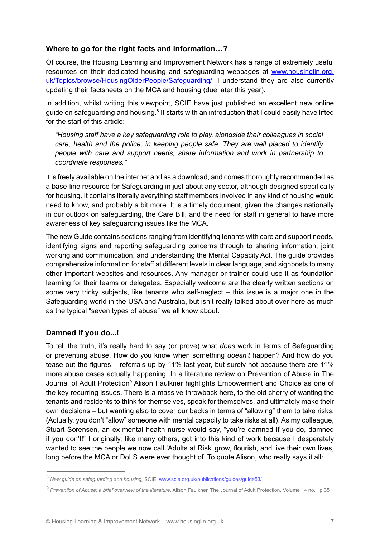# **Where to go for the right facts and information…?**

Of course, the Housing Learning and Improvement Network has a range of extremely useful resources on their dedicated housing and safeguarding webpages at www.housinglin.org. uk/Topics/browse/HousingOlderPeople/Safeguarding/. I understand they are also currently updating their factsheets on the MCA and housing (due later this year).

In addition, whilst writing this viewpoint, SCIE have just published an excellent new online guide on safeguarding and housing.<sup>8</sup> It starts with an introduction that I could easily have lifted for the start of this article:

*"Housing staff have a key safeguarding role to play, alongside their colleagues in social care, health and the police, in keeping people safe. They are well placed to identify people with care and support needs, share information and work in partnership to coordinate responses."*

It is freely available on the internet and as a download, and comes thoroughly recommended as a base-line resource for Safeguarding in just about any sector, although designed specifically for housing. It contains literally everything staff members involved in any kind of housing would need to know, and probably a bit more. It is a timely document, given the changes nationally in our outlook on safeguarding, the Care Bill, and the need for staff in general to have more awareness of key safeguarding issues like the MCA.

The new Guide contains sections ranging from identifying tenants with care and support needs, identifying signs and reporting safeguarding concerns through to sharing information, joint working and communication, and understanding the Mental Capacity Act. The guide provides comprehensive information for staff at different levels in clear language, and signposts to many other important websites and resources. Any manager or trainer could use it as foundation learning for their teams or delegates. Especially welcome are the clearly written sections on some very tricky subjects, like tenants who self-neglect – this issue is a major one in the Safeguarding world in the USA and Australia, but isn't really talked about over here as much as the typical "seven types of abuse" we all know about.

## **Damned if you do...!**

To tell the truth, it's really hard to say (or prove) what *does* work in terms of Safeguarding or preventing abuse. How do you know when something *doesn't* happen? And how do you tease out the figures – referrals up by 11% last year, but surely not because there are 11% more abuse cases actually happening. In a literature review on Prevention of Abuse in The Journal of Adult Protection<sup>9</sup> Alison Faulkner highlights Empowerment and Choice as one of the key recurring issues. There is a massive throwback here, to the old cherry of wanting the tenants and residents to think for themselves, speak for themselves, and ultimately make their own decisions – but wanting also to cover our backs in terms of "allowing" them to take risks. (Actually, you don't "allow" someone with mental capacity to take risks at all). As my colleague, Stuart Sorensen, an ex-mental health nurse would say, "you're damned if you do, damned if you don't!" I originally, like many others, got into this kind of work because I desperately wanted to see the people we now call 'Adults at Risk' grow, flourish, and live their own lives, long before the MCA or DoLS were ever thought of. To quote Alison, who really says it all:

<sup>8</sup> *New guide on safeguarding and housing,* SCIE. www.scie.org.uk/publications/guides/guide53/

<sup>9</sup> *Prevention of Abuse: a brief overview of the literature*, Alison Faulkner, The Journal of Adult Protection, Volume 14 no.1 p.35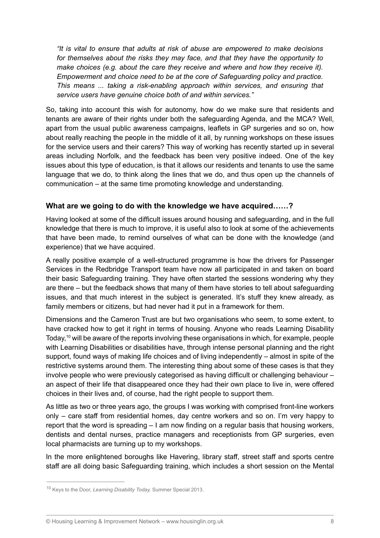*"It is vital to ensure that adults at risk of abuse are empowered to make decisions for themselves about the risks they may face, and that they have the opportunity to make choices (e.g. about the care they receive and where and how they receive it). Empowerment and choice need to be at the core of Safeguarding policy and practice. This means ... taking a risk-enabling approach within services, and ensuring that service users have genuine choice both of and within services."*

So, taking into account this wish for autonomy, how do we make sure that residents and tenants are aware of their rights under both the safeguarding Agenda, and the MCA? Well, apart from the usual public awareness campaigns, leaflets in GP surgeries and so on, how about really reaching the people in the middle of it all, by running workshops on these issues for the service users and their carers? This way of working has recently started up in several areas including Norfolk, and the feedback has been very positive indeed. One of the key issues about this type of education, is that it allows our residents and tenants to use the same language that we do, to think along the lines that we do, and thus open up the channels of communication – at the same time promoting knowledge and understanding.

# **What are we going to do with the knowledge we have acquired……?**

Having looked at some of the difficult issues around housing and safeguarding, and in the full knowledge that there is much to improve, it is useful also to look at some of the achievements that have been made, to remind ourselves of what can be done with the knowledge (and experience) that we have acquired.

A really positive example of a well-structured programme is how the drivers for Passenger Services in the Redbridge Transport team have now all participated in and taken on board their basic Safeguarding training. They have often started the sessions wondering why they are there – but the feedback shows that many of them have stories to tell about safeguarding issues, and that much interest in the subject is generated. It's stuff they knew already, as family members or citizens, but had never had it put in a framework for them.

Dimensions and the Cameron Trust are but two organisations who seem, to some extent, to have cracked how to get it right in terms of housing. Anyone who reads Learning Disability Today,10 will be aware of the reports involving these organisations in which, for example, people with Learning Disabilities or disabilities have, through intense personal planning and the right support, found ways of making life choices and of living independently – almost in spite of the restrictive systems around them. The interesting thing about some of these cases is that they involve people who were previously categorised as having difficult or challenging behaviour – an aspect of their life that disappeared once they had their own place to live in, were offered choices in their lives and, of course, had the right people to support them.

As little as two or three years ago, the groups I was working with comprised front-line workers only – care staff from residential homes, day centre workers and so on. I'm very happy to report that the word is spreading – I am now finding on a regular basis that housing workers, dentists and dental nurses, practice managers and receptionists from GP surgeries, even local pharmacists are turning up to my workshops.

In the more enlightened boroughs like Havering, library staff, street staff and sports centre staff are all doing basic Safeguarding training, which includes a short session on the Mental

<sup>10</sup> Keys to the Door, *Learning Disability Today,* Summer Special 2013.